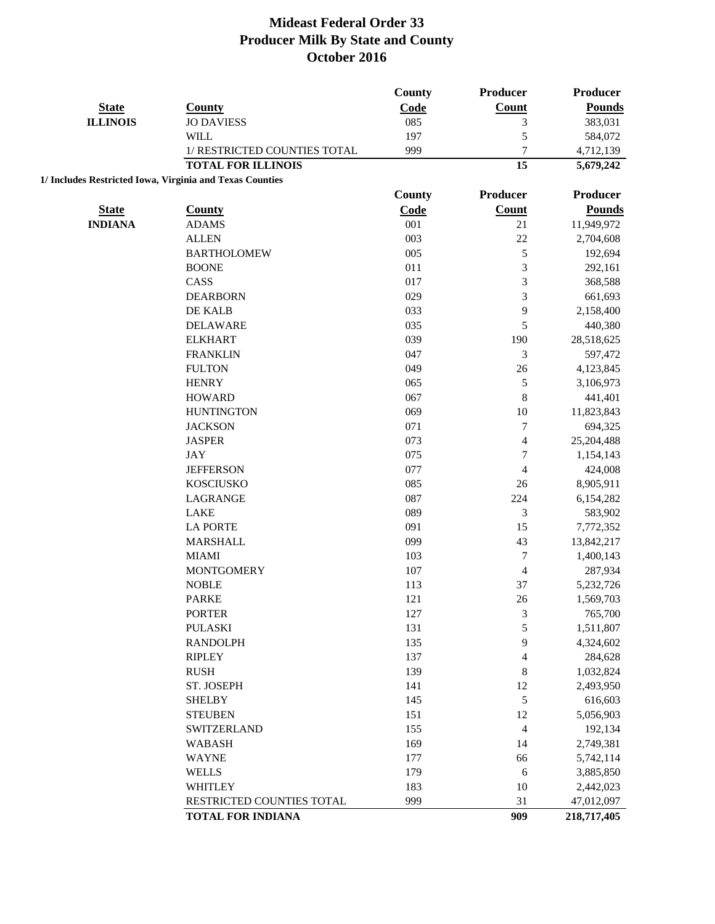|                                                          |                              | County        | Producer         | <b>Producer</b> |
|----------------------------------------------------------|------------------------------|---------------|------------------|-----------------|
| <b>State</b>                                             | <b>County</b>                | Code          | Count            | <b>Pounds</b>   |
| <b>ILLINOIS</b>                                          | <b>JO DAVIESS</b>            | 085           | 3                | 383,031         |
|                                                          | <b>WILL</b>                  | 197           | 5                | 584,072         |
|                                                          | 1/ RESTRICTED COUNTIES TOTAL | 999           | $\overline{7}$   | 4,712,139       |
|                                                          | <b>TOTAL FOR ILLINOIS</b>    |               | 15               | 5,679,242       |
| 1/ Includes Restricted Iowa, Virginia and Texas Counties |                              |               |                  |                 |
|                                                          |                              | <b>County</b> | Producer         | Producer        |
| <b>State</b>                                             | <b>County</b>                | Code          | Count            | <b>Pounds</b>   |
| <b>INDIANA</b>                                           | <b>ADAMS</b>                 | 001           | 21               | 11,949,972      |
|                                                          | <b>ALLEN</b>                 | 003           | 22               | 2,704,608       |
|                                                          | <b>BARTHOLOMEW</b>           | 005           | 5                | 192,694         |
|                                                          | <b>BOONE</b>                 | 011           | 3                | 292,161         |
|                                                          | CASS                         | 017           | 3                | 368,588         |
|                                                          | <b>DEARBORN</b>              | 029           | 3                | 661,693         |
|                                                          | DE KALB                      | 033           | 9                | 2,158,400       |
|                                                          | <b>DELAWARE</b>              | 035           | 5                | 440,380         |
|                                                          | <b>ELKHART</b>               | 039           | 190              | 28,518,625      |
|                                                          | <b>FRANKLIN</b>              | 047           | 3                | 597,472         |
|                                                          | <b>FULTON</b>                | 049           | 26               | 4,123,845       |
|                                                          | <b>HENRY</b>                 | 065           | $\sqrt{5}$       | 3,106,973       |
|                                                          | <b>HOWARD</b>                | 067           | $\,$ 8 $\,$      | 441,401         |
|                                                          | <b>HUNTINGTON</b>            | 069           | 10               | 11,823,843      |
|                                                          | <b>JACKSON</b>               | 071           | $\boldsymbol{7}$ | 694,325         |
|                                                          | <b>JASPER</b>                | 073           | 4                | 25,204,488      |
|                                                          | JAY                          | 075           | $\boldsymbol{7}$ | 1,154,143       |
|                                                          | <b>JEFFERSON</b>             | 077           | $\overline{4}$   | 424,008         |
|                                                          | <b>KOSCIUSKO</b>             | 085           | 26               | 8,905,911       |
|                                                          | LAGRANGE                     | 087           | 224              | 6,154,282       |
|                                                          | <b>LAKE</b>                  | 089           | 3                | 583,902         |
|                                                          | <b>LA PORTE</b>              | 091           | 15               | 7,772,352       |
|                                                          | <b>MARSHALL</b>              | 099           | 43               | 13,842,217      |
|                                                          | <b>MIAMI</b>                 | 103           | $\boldsymbol{7}$ | 1,400,143       |
|                                                          | <b>MONTGOMERY</b>            | 107           | 4                | 287,934         |
|                                                          | <b>NOBLE</b>                 | 113           | 37               | 5,232,726       |
|                                                          | <b>PARKE</b>                 | 121           | 26               | 1,569,703       |
|                                                          | <b>PORTER</b>                | 127           | $\sqrt{3}$       | 765,700         |
|                                                          | <b>PULASKI</b>               | 131           | 5                | 1,511,807       |
|                                                          | <b>RANDOLPH</b>              | 135           | 9                | 4,324,602       |
|                                                          | <b>RIPLEY</b>                | 137           | $\overline{4}$   | 284,628         |
|                                                          | <b>RUSH</b>                  | 139           | 8                | 1,032,824       |
|                                                          | ST. JOSEPH                   | 141           | 12               | 2,493,950       |
|                                                          | <b>SHELBY</b>                | 145           | $\sqrt{5}$       | 616,603         |
|                                                          | <b>STEUBEN</b>               | 151           | 12               | 5,056,903       |
|                                                          | <b>SWITZERLAND</b>           | 155           | $\overline{4}$   | 192,134         |
|                                                          | <b>WABASH</b>                | 169           | 14               | 2,749,381       |
|                                                          | <b>WAYNE</b>                 | 177           | 66               | 5,742,114       |
|                                                          | <b>WELLS</b>                 | 179           | 6                | 3,885,850       |
|                                                          | <b>WHITLEY</b>               | 183           | 10               | 2,442,023       |
|                                                          | RESTRICTED COUNTIES TOTAL    | 999           | 31               | 47,012,097      |
|                                                          | <b>TOTAL FOR INDIANA</b>     |               | 909              | 218,717,405     |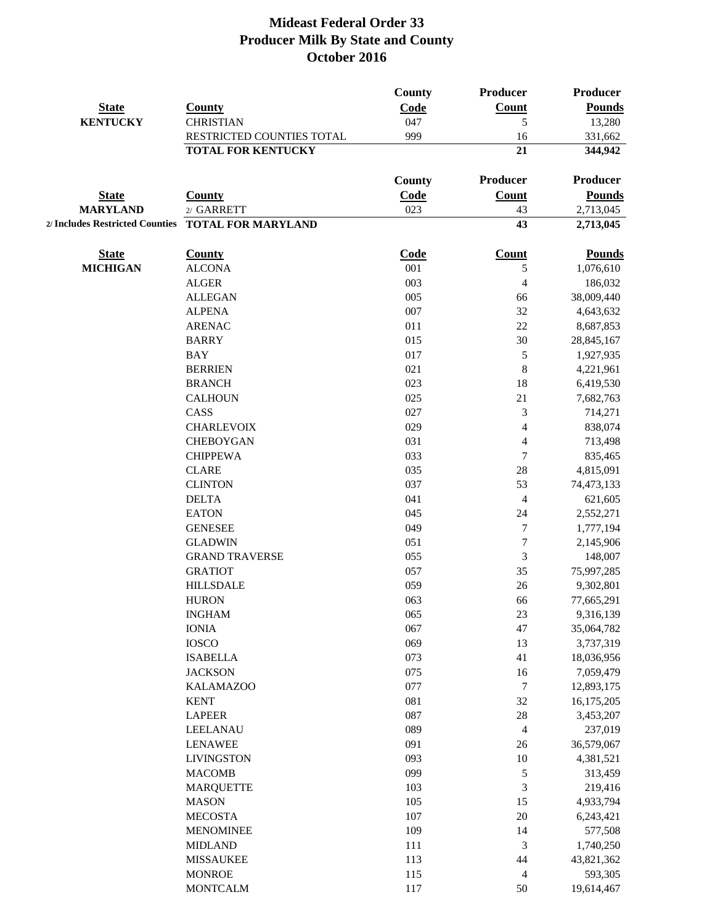|                 |                                                    | <b>County</b> | <b>Producer</b>          | <b>Producer</b>       |
|-----------------|----------------------------------------------------|---------------|--------------------------|-----------------------|
| <b>State</b>    | <b>County</b>                                      | Code          | <b>Count</b>             | <b>Pounds</b>         |
| <b>KENTUCKY</b> | <b>CHRISTIAN</b>                                   | 047           | 5                        | 13,280                |
|                 | RESTRICTED COUNTIES TOTAL                          | 999           | 16                       | 331,662               |
|                 | <b>TOTAL FOR KENTUCKY</b>                          |               | 21                       | 344,942               |
|                 |                                                    | <b>County</b> | Producer                 | Producer              |
| <b>State</b>    | <b>County</b>                                      | Code          | <b>Count</b>             | <b>Pounds</b>         |
| <b>MARYLAND</b> | 2/ GARRETT                                         | 023           | 43                       | 2,713,045             |
|                 | 2/ Includes Restricted Counties TOTAL FOR MARYLAND |               | 43                       | 2,713,045             |
| <b>State</b>    | <b>County</b>                                      | <b>Code</b>   | Count                    | <b>Pounds</b>         |
| <b>MICHIGAN</b> | <b>ALCONA</b>                                      | 001           | 5                        | 1,076,610             |
|                 | <b>ALGER</b>                                       | 003           | $\overline{4}$           | 186,032               |
|                 | <b>ALLEGAN</b>                                     | 005           | 66                       | 38,009,440            |
|                 | <b>ALPENA</b>                                      | 007           | 32                       | 4,643,632             |
|                 | <b>ARENAC</b>                                      | 011           | 22                       | 8,687,853             |
|                 | <b>BARRY</b>                                       | 015           | 30                       | 28,845,167            |
|                 | <b>BAY</b>                                         | 017           | $\sqrt{5}$               | 1,927,935             |
|                 | <b>BERRIEN</b>                                     | 021           | $\,8\,$                  | 4,221,961             |
|                 | <b>BRANCH</b>                                      | 023           | 18                       | 6,419,530             |
|                 | <b>CALHOUN</b>                                     | 025           | 21                       | 7,682,763             |
|                 | CASS                                               | 027           | $\mathfrak{Z}$           | 714,271               |
|                 | <b>CHARLEVOIX</b>                                  | 029           | $\overline{\mathcal{L}}$ | 838,074               |
|                 | <b>CHEBOYGAN</b>                                   | 031           | $\overline{\mathcal{L}}$ | 713,498               |
|                 | <b>CHIPPEWA</b>                                    | 033           | $\overline{7}$           | 835,465               |
|                 | <b>CLARE</b>                                       | 035           | 28                       | 4,815,091             |
|                 | <b>CLINTON</b>                                     | 037           | 53                       | 74,473,133            |
|                 | <b>DELTA</b>                                       | 041           | $\overline{4}$           | 621,605               |
|                 | <b>EATON</b>                                       | 045           | 24                       | 2,552,271             |
|                 | <b>GENESEE</b>                                     | 049           | $\tau$                   | 1,777,194             |
|                 | <b>GLADWIN</b>                                     | 051           | $\boldsymbol{7}$         | 2,145,906             |
|                 | <b>GRAND TRAVERSE</b>                              | 055           | $\mathfrak{Z}$           | 148,007               |
|                 | <b>GRATIOT</b>                                     | 057           | 35                       | 75,997,285            |
|                 | <b>HILLSDALE</b>                                   | 059           | 26                       | 9,302,801             |
|                 | <b>HURON</b>                                       | 063           | 66                       | 77,665,291            |
|                 | <b>INGHAM</b>                                      | 065           | 23                       | 9,316,139             |
|                 | <b>IONIA</b>                                       | 067           | 47                       | 35,064,782            |
|                 | <b>IOSCO</b>                                       | 069           | 13                       | 3,737,319             |
|                 | <b>ISABELLA</b>                                    | 073           | 41                       | 18,036,956            |
|                 | <b>JACKSON</b>                                     | 075           | 16                       | 7,059,479             |
|                 | <b>KALAMAZOO</b>                                   | 077           | $\boldsymbol{7}$         | 12,893,175            |
|                 | <b>KENT</b>                                        | 081           | 32                       | 16,175,205            |
|                 | <b>LAPEER</b>                                      | 087           | $28\,$                   | 3,453,207             |
|                 | LEELANAU                                           | 089           | $\overline{4}$           | 237,019               |
|                 | <b>LENAWEE</b>                                     | 091           | $26\,$                   | 36,579,067            |
|                 | <b>LIVINGSTON</b>                                  | 093           | $10\,$                   | 4,381,521             |
|                 | <b>MACOMB</b>                                      | 099           | $\sqrt{5}$               | 313,459               |
|                 | <b>MARQUETTE</b>                                   | 103           | $\mathfrak{Z}$           | 219,416               |
|                 | <b>MASON</b>                                       | 105           | 15                       | 4,933,794             |
|                 | <b>MECOSTA</b>                                     | 107           | 20                       | 6,243,421             |
|                 | <b>MENOMINEE</b>                                   | 109           | 14                       |                       |
|                 | <b>MIDLAND</b>                                     | 111           | $\mathfrak{Z}$           | 577,508<br>1,740,250  |
|                 |                                                    | 113           | 44                       | 43,821,362            |
|                 | <b>MISSAUKEE</b><br><b>MONROE</b>                  |               | $\overline{4}$           |                       |
|                 | <b>MONTCALM</b>                                    | 115<br>117    | 50                       | 593,305<br>19,614,467 |
|                 |                                                    |               |                          |                       |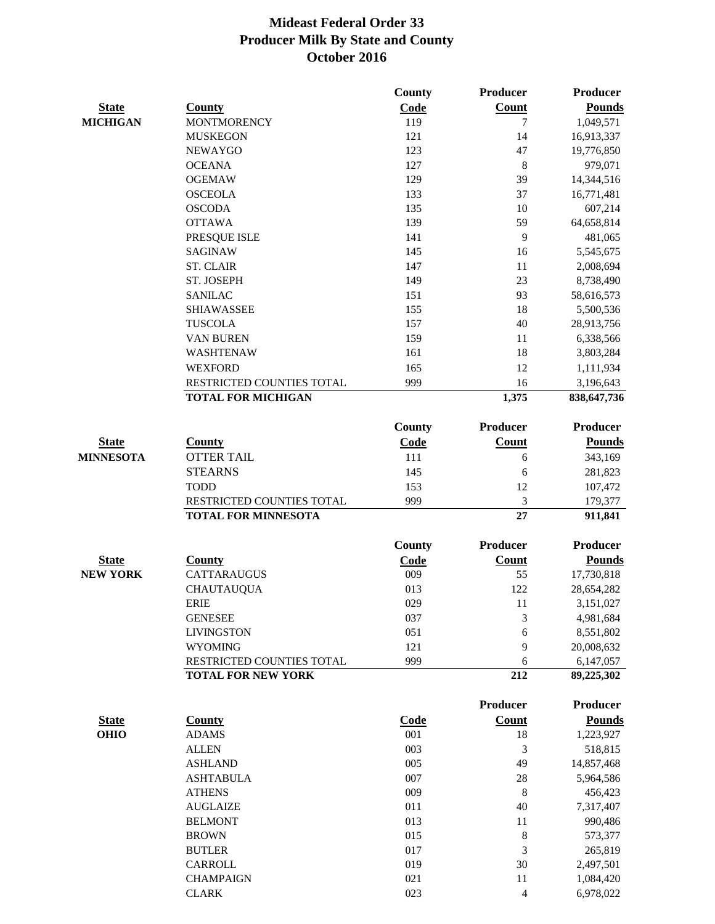|                  |                                                         | <b>County</b> | <b>Producer</b> | <b>Producer</b>    |
|------------------|---------------------------------------------------------|---------------|-----------------|--------------------|
| <b>State</b>     | <b>County</b>                                           | Code          | Count           | <b>Pounds</b>      |
| <b>MICHIGAN</b>  | <b>MONTMORENCY</b>                                      | 119           | 7               | 1,049,571          |
|                  | <b>MUSKEGON</b>                                         | 121           | 14              | 16,913,337         |
|                  | <b>NEWAYGO</b>                                          | 123           | 47              | 19,776,850         |
|                  | <b>OCEANA</b>                                           | 127           | $\,8\,$         | 979,071            |
|                  | <b>OGEMAW</b>                                           | 129           | 39              | 14,344,516         |
|                  | <b>OSCEOLA</b>                                          | 133           | 37              | 16,771,481         |
|                  | <b>OSCODA</b>                                           | 135           | 10              | 607,214            |
|                  | <b>OTTAWA</b>                                           | 139           | 59              | 64,658,814         |
|                  | PRESQUE ISLE                                            | 141           | 9               | 481,065            |
|                  | <b>SAGINAW</b>                                          | 145           | 16              | 5,545,675          |
|                  | <b>ST. CLAIR</b>                                        | 147           | 11              | 2,008,694          |
|                  | ST. JOSEPH                                              | 149           | 23              | 8,738,490          |
|                  | <b>SANILAC</b>                                          | 151           | 93              |                    |
|                  |                                                         |               |                 | 58,616,573         |
|                  | <b>SHIAWASSEE</b>                                       | 155           | 18              | 5,500,536          |
|                  | <b>TUSCOLA</b>                                          | 157           | 40              | 28,913,756         |
|                  | VAN BUREN                                               | 159           | 11              | 6,338,566          |
|                  | WASHTENAW                                               | 161           | 18              | 3,803,284          |
|                  | <b>WEXFORD</b>                                          | 165           | 12              | 1,111,934          |
|                  | RESTRICTED COUNTIES TOTAL                               | 999           | 16              | 3,196,643          |
|                  | <b>TOTAL FOR MICHIGAN</b>                               |               | 1,375           | 838,647,736        |
|                  |                                                         | <b>County</b> | <b>Producer</b> | <b>Producer</b>    |
| <b>State</b>     | <b>County</b>                                           | Code          | Count           | <b>Pounds</b>      |
| <b>MINNESOTA</b> | <b>OTTER TAIL</b>                                       | 111           | 6               | 343,169            |
|                  | <b>STEARNS</b>                                          | 145           |                 |                    |
|                  | <b>TODD</b>                                             |               | 6               | 281,823            |
|                  |                                                         | 153           | 12              | 107,472            |
|                  | RESTRICTED COUNTIES TOTAL<br><b>TOTAL FOR MINNESOTA</b> | 999           | 3<br>27         | 179,377<br>911,841 |
|                  |                                                         |               |                 |                    |
|                  |                                                         | <b>County</b> | <b>Producer</b> | <b>Producer</b>    |
| <b>State</b>     | <b>County</b>                                           | Code          | <b>Count</b>    | <b>Pounds</b>      |
| <b>NEW YORK</b>  | CATTARAUGUS                                             | 009           | 55              | 17,730,818         |
|                  | <b>CHAUTAUQUA</b>                                       | 013           | 122             | 28,654,282         |
|                  | <b>ERIE</b>                                             | 029           | 11              | 3,151,027          |
|                  | <b>GENESEE</b>                                          | 037           | $\mathfrak{Z}$  | 4,981,684          |
|                  | <b>LIVINGSTON</b>                                       | 051           | 6               | 8,551,802          |
|                  | <b>WYOMING</b>                                          | 121           | 9               | 20,008,632         |
|                  | RESTRICTED COUNTIES TOTAL                               | 999           | 6               | 6,147,057          |
|                  | <b>TOTAL FOR NEW YORK</b>                               |               | 212             | 89,225,302         |
|                  |                                                         |               | <b>Producer</b> | <b>Producer</b>    |
| <b>State</b>     | <b>County</b>                                           | Code          | <b>Count</b>    | <b>Pounds</b>      |
|                  | <b>ADAMS</b>                                            | 001           | 18              | 1,223,927          |
| <b>OHIO</b>      | <b>ALLEN</b>                                            | 003           | $\mathfrak{Z}$  | 518,815            |
|                  |                                                         |               |                 |                    |
|                  | <b>ASHLAND</b>                                          | 005           | 49              | 14,857,468         |
|                  | <b>ASHTABULA</b>                                        | 007           | 28              | 5,964,586          |
|                  | <b>ATHENS</b>                                           | 009           | 8               | 456,423            |
|                  | <b>AUGLAIZE</b>                                         | 011           | 40              | 7,317,407          |
|                  | <b>BELMONT</b>                                          | 013           | 11              | 990,486            |
|                  | <b>BROWN</b>                                            | 015           | $\,8\,$         | 573,377            |
|                  | <b>BUTLER</b>                                           | 017           | 3               | 265,819            |
|                  | CARROLL                                                 | 019           | 30              | 2,497,501          |
|                  | <b>CHAMPAIGN</b>                                        | 021           | 11              | 1,084,420          |
|                  | <b>CLARK</b>                                            | 023           | $\overline{4}$  | 6,978,022          |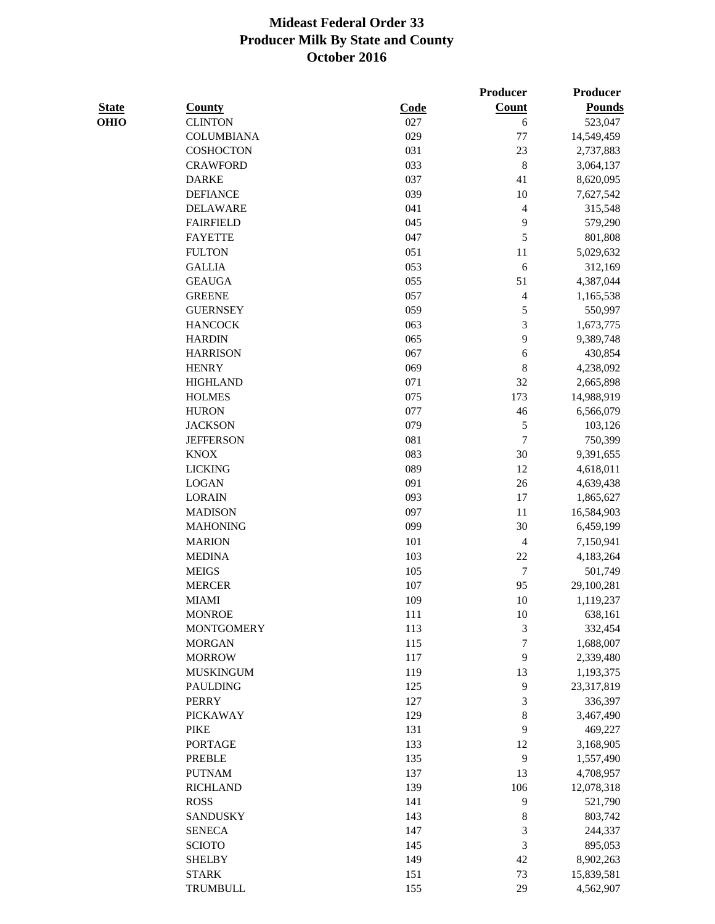|              |                   |      | Producer       | Producer      |
|--------------|-------------------|------|----------------|---------------|
| <b>State</b> | <b>County</b>     | Code | Count          | <b>Pounds</b> |
| OHIO         | <b>CLINTON</b>    | 027  | 6              | 523,047       |
|              | <b>COLUMBIANA</b> | 029  | 77             | 14,549,459    |
|              | <b>COSHOCTON</b>  | 031  | 23             | 2,737,883     |
|              | <b>CRAWFORD</b>   | 033  | 8              | 3,064,137     |
|              | <b>DARKE</b>      | 037  | 41             | 8,620,095     |
|              | <b>DEFIANCE</b>   | 039  | 10             | 7,627,542     |
|              | <b>DELAWARE</b>   | 041  | $\overline{4}$ | 315,548       |
|              | <b>FAIRFIELD</b>  | 045  | 9              | 579,290       |
|              | <b>FAYETTE</b>    | 047  | 5              | 801,808       |
|              | <b>FULTON</b>     | 051  | 11             | 5,029,632     |
|              | <b>GALLIA</b>     | 053  | 6              | 312,169       |
|              | <b>GEAUGA</b>     | 055  | 51             | 4,387,044     |
|              | <b>GREENE</b>     | 057  | $\overline{4}$ | 1,165,538     |
|              | <b>GUERNSEY</b>   | 059  | 5              | 550,997       |
|              | <b>HANCOCK</b>    | 063  | 3              | 1,673,775     |
|              | <b>HARDIN</b>     | 065  | 9              | 9,389,748     |
|              | <b>HARRISON</b>   | 067  | 6              | 430,854       |
|              | <b>HENRY</b>      | 069  | $\,$ 8 $\,$    | 4,238,092     |
|              | <b>HIGHLAND</b>   | 071  | 32             | 2,665,898     |
|              | <b>HOLMES</b>     | 075  | 173            | 14,988,919    |
|              | <b>HURON</b>      | 077  | 46             | 6,566,079     |
|              | <b>JACKSON</b>    | 079  | $\sqrt{5}$     | 103,126       |
|              | <b>JEFFERSON</b>  | 081  | $\tau$         | 750,399       |
|              | <b>KNOX</b>       | 083  | 30             | 9,391,655     |
|              | <b>LICKING</b>    | 089  | 12             | 4,618,011     |
|              | <b>LOGAN</b>      | 091  | 26             | 4,639,438     |
|              | <b>LORAIN</b>     | 093  | 17             | 1,865,627     |
|              | <b>MADISON</b>    | 097  | 11             | 16,584,903    |
|              | <b>MAHONING</b>   | 099  | 30             | 6,459,199     |
|              | <b>MARION</b>     | 101  | $\overline{4}$ | 7,150,941     |
|              | <b>MEDINA</b>     | 103  | 22             | 4,183,264     |
|              | <b>MEIGS</b>      | 105  | $\tau$         | 501,749       |
|              | <b>MERCER</b>     | 107  | 95             | 29,100,281    |
|              | <b>MIAMI</b>      | 109  | 10             | 1,119,237     |
|              | <b>MONROE</b>     | 111  | 10             | 638,161       |
|              | <b>MONTGOMERY</b> | 113  | $\sqrt{3}$     | 332,454       |
|              | <b>MORGAN</b>     | 115  | $\overline{7}$ | 1,688,007     |
|              | <b>MORROW</b>     | 117  | 9              | 2,339,480     |
|              | <b>MUSKINGUM</b>  | 119  | 13             | 1,193,375     |
|              | <b>PAULDING</b>   | 125  | 9              | 23,317,819    |
|              | <b>PERRY</b>      | 127  | 3              | 336,397       |
|              | <b>PICKAWAY</b>   | 129  | $\,$ $\,$      | 3,467,490     |
|              | <b>PIKE</b>       | 131  | $\mathbf{9}$   | 469,227       |
|              | <b>PORTAGE</b>    | 133  | 12             | 3,168,905     |
|              | <b>PREBLE</b>     | 135  | $\mathbf{9}$   | 1,557,490     |
|              | <b>PUTNAM</b>     | 137  | 13             | 4,708,957     |
|              | <b>RICHLAND</b>   | 139  | 106            | 12,078,318    |
|              | <b>ROSS</b>       | 141  | $\mathbf{9}$   | 521,790       |
|              | <b>SANDUSKY</b>   | 143  | $\,$ $\,$      | 803,742       |
|              | <b>SENECA</b>     | 147  | $\sqrt{3}$     | 244,337       |
|              | <b>SCIOTO</b>     | 145  | $\mathfrak{Z}$ | 895,053       |
|              | <b>SHELBY</b>     | 149  | 42             | 8,902,263     |
|              | <b>STARK</b>      | 151  | 73             |               |
|              | TRUMBULL          |      | 29             | 15,839,581    |
|              |                   | 155  |                | 4,562,907     |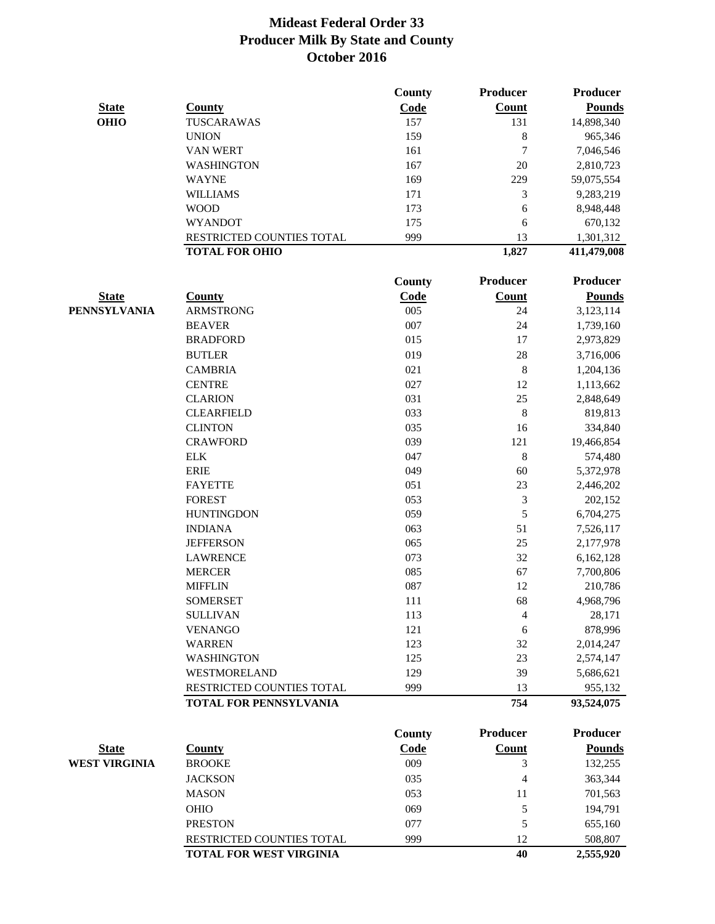|                      |                                                     | <b>County</b> | <b>Producer</b> | <b>Producer</b>       |
|----------------------|-----------------------------------------------------|---------------|-----------------|-----------------------|
| <b>State</b>         | <b>County</b>                                       | Code          | Count           | <b>Pounds</b>         |
| <b>OHIO</b>          | TUSCARAWAS                                          | 157           | 131             | 14,898,340            |
|                      | <b>UNION</b>                                        | 159           | 8               | 965,346               |
|                      | <b>VAN WERT</b>                                     | 161           | 7               | 7,046,546             |
|                      | <b>WASHINGTON</b>                                   | 167           | 20              | 2,810,723             |
|                      | <b>WAYNE</b>                                        | 169           | 229             | 59,075,554            |
|                      | <b>WILLIAMS</b>                                     | 171           | 3               | 9,283,219             |
|                      | <b>WOOD</b>                                         | 173           | 6               | 8,948,448             |
|                      | <b>WYANDOT</b>                                      | 175           | 6               | 670,132               |
|                      | RESTRICTED COUNTIES TOTAL                           | 999           | 13              | 1,301,312             |
|                      | <b>TOTAL FOR OHIO</b>                               |               | 1,827           | 411,479,008           |
|                      |                                                     | <b>County</b> | <b>Producer</b> | <b>Producer</b>       |
| <b>State</b>         | <b>County</b>                                       | <b>Code</b>   | <b>Count</b>    | <b>Pounds</b>         |
| <b>PENNSYLVANIA</b>  | <b>ARMSTRONG</b>                                    | 005           | 24              | 3,123,114             |
|                      | <b>BEAVER</b>                                       | 007           | 24              | 1,739,160             |
|                      | <b>BRADFORD</b>                                     | 015           | 17              | 2,973,829             |
|                      |                                                     | 019           | 28              | 3,716,006             |
|                      | <b>BUTLER</b>                                       |               |                 |                       |
|                      | <b>CAMBRIA</b>                                      | 021           | $\,8\,$         | 1,204,136             |
|                      | <b>CENTRE</b>                                       | 027           | 12              | 1,113,662             |
|                      | <b>CLARION</b>                                      | 031           | 25              | 2,848,649             |
|                      | <b>CLEARFIELD</b>                                   | 033           | 8               | 819,813               |
|                      | <b>CLINTON</b>                                      | 035           | 16              | 334,840               |
|                      | <b>CRAWFORD</b>                                     | 039           | 121             | 19,466,854            |
|                      | <b>ELK</b>                                          | 047<br>049    | $\,8\,$         | 574,480               |
|                      | <b>ERIE</b>                                         |               | 60              | 5,372,978             |
|                      | <b>FAYETTE</b>                                      | 051           | 23              | 2,446,202             |
|                      | <b>FOREST</b>                                       | 053           | 3               | 202,152               |
|                      | <b>HUNTINGDON</b>                                   | 059           | 5               | 6,704,275             |
|                      | <b>INDIANA</b>                                      | 063           | 51              | 7,526,117             |
|                      | <b>JEFFERSON</b>                                    | 065           | 25              | 2,177,978             |
|                      | <b>LAWRENCE</b>                                     | 073           | 32              | 6,162,128             |
|                      | <b>MERCER</b>                                       | 085           | 67              | 7,700,806             |
|                      | <b>MIFFLIN</b>                                      | 087           | 12              | 210,786               |
|                      | <b>SOMERSET</b>                                     | 111           | 68              | 4,968,796             |
|                      | <b>SULLIVAN</b>                                     | 113           | 4               | 28,171                |
|                      | <b>VENANGO</b>                                      | 121           | $\sqrt{6}$      | 878,996               |
|                      | <b>WARREN</b>                                       | 123           | 32              | 2,014,247             |
|                      | <b>WASHINGTON</b>                                   | 125           | 23              | 2,574,147             |
|                      | WESTMORELAND                                        | 129           | 39              | 5,686,621             |
|                      | RESTRICTED COUNTIES TOTAL<br>TOTAL FOR PENNSYLVANIA | 999           | 13<br>754       | 955,132<br>93,524,075 |
|                      |                                                     |               |                 |                       |
|                      |                                                     | County        | <b>Producer</b> | <b>Producer</b>       |
| <b>State</b>         | <b>County</b>                                       | <b>Code</b>   | <b>Count</b>    | <b>Pounds</b>         |
| <b>WEST VIRGINIA</b> | <b>BROOKE</b>                                       | 009           | 3               | 132,255               |
|                      | <b>JACKSON</b>                                      | 035           | 4               | 363,344               |
|                      | <b>MASON</b>                                        | 053           | 11              | 701,563               |
|                      | <b>OHIO</b>                                         | 069           | 5               | 194,791               |
|                      | <b>PRESTON</b>                                      | 077           | 5               | 655,160               |
|                      | RESTRICTED COUNTIES TOTAL                           | 999           | 12              | 508,807               |
|                      | <b>TOTAL FOR WEST VIRGINIA</b>                      |               | 40              | 2,555,920             |